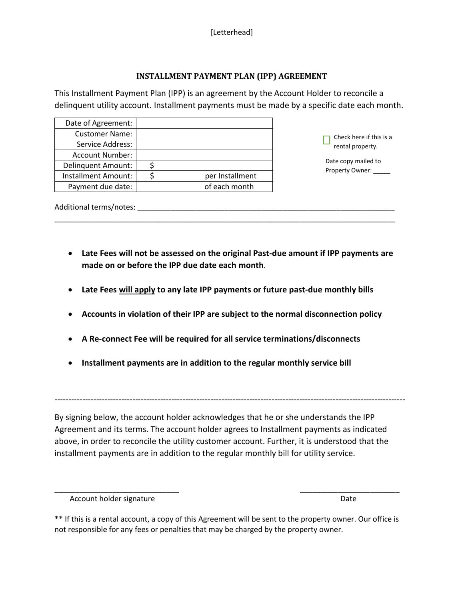## **INSTALLMENT PAYMENT PLAN (IPP) AGREEMENT**

This Installment Payment Plan (IPP) is an agreement by the Account Holder to reconcile a delinquent utility account. Installment payments must be made by a specific date each month.

| Date of Agreement:        |                 |                                             |
|---------------------------|-----------------|---------------------------------------------|
| <b>Customer Name:</b>     |                 | Check here if this is a                     |
| Service Address:          |                 | rental property.                            |
| <b>Account Number:</b>    |                 | Date copy mailed to<br>Property Owner: ____ |
| <b>Delinquent Amount:</b> |                 |                                             |
| Installment Amount:       | per Installment |                                             |
| Payment due date:         | of each month   |                                             |
|                           |                 |                                             |

Additional terms/notes: \_\_\_\_\_\_\_\_\_\_\_\_\_\_\_\_\_\_\_\_\_\_\_\_\_\_\_\_\_\_\_\_\_\_\_\_\_\_\_\_\_\_\_\_\_\_\_\_\_\_\_\_\_\_\_\_\_\_\_\_\_\_

• **Late Fees will not be assessed on the original Past-due amount if IPP payments are made on or before the IPP due date each month**.

\_\_\_\_\_\_\_\_\_\_\_\_\_\_\_\_\_\_\_\_\_\_\_\_\_\_\_\_\_\_\_\_\_\_\_\_\_\_\_\_\_\_\_\_\_\_\_\_\_\_\_\_\_\_\_\_\_\_\_\_\_\_\_\_\_\_\_\_\_\_\_\_\_\_\_\_\_\_\_\_\_\_

- **Late Fees will apply to any late IPP payments or future past-due monthly bills**
- **Accounts in violation of their IPP are subject to the normal disconnection policy**
- **A Re-connect Fee will be required for all service terminations/disconnects**
- **Installment payments are in addition to the regular monthly service bill**

By signing below, the account holder acknowledges that he or she understands the IPP Agreement and its terms. The account holder agrees to Installment payments as indicated above, in order to reconcile the utility customer account. Further, it is understood that the installment payments are in addition to the regular monthly bill for utility service.

------------------------------------------------------------------------------------------------------------------------------

\_\_\_\_\_\_\_\_\_\_\_\_\_\_\_\_\_\_\_\_\_\_\_\_\_\_\_\_\_\_ \_\_\_\_\_\_\_\_\_\_\_\_\_\_\_\_\_\_\_\_\_\_\_\_

Account holder signature and the property of the control of the Date of the Date

<sup>\*\*</sup> If this is a rental account, a copy of this Agreement will be sent to the property owner. Our office is not responsible for any fees or penalties that may be charged by the property owner.